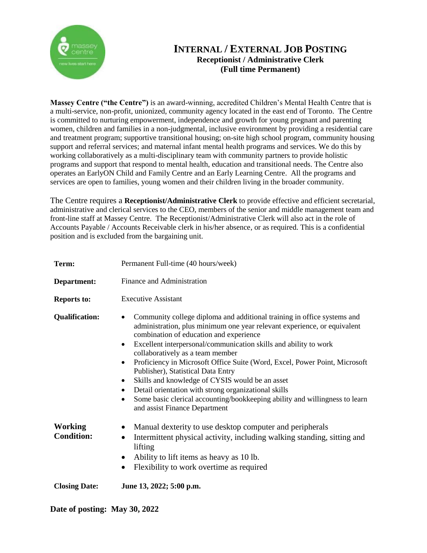

## **INTERNAL / EXTERNAL JOB POSTING Receptionist / Administrative Clerk (Full time Permanent)**

**Massey Centre ("the Centre")** is an award-winning, accredited Children's Mental Health Centre that is a multi-service, non-profit, unionized, community agency located in the east end of Toronto. The Centre is committed to nurturing empowerment, independence and growth for young pregnant and parenting women, children and families in a non-judgmental, inclusive environment by providing a residential care and treatment program; supportive transitional housing; on-site high school program, community housing support and referral services; and maternal infant mental health programs and services. We do this by working collaboratively as a multi-disciplinary team with community partners to provide holistic programs and support that respond to mental health, education and transitional needs. The Centre also operates an EarlyON Child and Family Centre and an Early Learning Centre. All the programs and services are open to families, young women and their children living in the broader community.

The Centre requires a **Receptionist/Administrative Clerk** to provide effective and efficient secretarial, administrative and clerical services to the CEO, members of the senior and middle management team and front-line staff at Massey Centre. The Receptionist/Administrative Clerk will also act in the role of Accounts Payable / Accounts Receivable clerk in his/her absence, or as required. This is a confidential position and is excluded from the bargaining unit.

| Term:                               | Permanent Full-time (40 hours/week)                                                                                                                                                                                                                                                                                                                                                                                                                                                                                                                                                                                                                                                                         |
|-------------------------------------|-------------------------------------------------------------------------------------------------------------------------------------------------------------------------------------------------------------------------------------------------------------------------------------------------------------------------------------------------------------------------------------------------------------------------------------------------------------------------------------------------------------------------------------------------------------------------------------------------------------------------------------------------------------------------------------------------------------|
| Department:                         | Finance and Administration                                                                                                                                                                                                                                                                                                                                                                                                                                                                                                                                                                                                                                                                                  |
| <b>Reports to:</b>                  | <b>Executive Assistant</b>                                                                                                                                                                                                                                                                                                                                                                                                                                                                                                                                                                                                                                                                                  |
| <b>Qualification:</b>               | Community college diploma and additional training in office systems and<br>$\bullet$<br>administration, plus minimum one year relevant experience, or equivalent<br>combination of education and experience<br>Excellent interpersonal/communication skills and ability to work<br>$\bullet$<br>collaboratively as a team member<br>Proficiency in Microsoft Office Suite (Word, Excel, Power Point, Microsoft<br>٠<br>Publisher), Statistical Data Entry<br>Skills and knowledge of CYSIS would be an asset<br>٠<br>Detail orientation with strong organizational skills<br>٠<br>Some basic clerical accounting/bookkeeping ability and willingness to learn<br>$\bullet$<br>and assist Finance Department |
| <b>Working</b><br><b>Condition:</b> | Manual dexterity to use desktop computer and peripherals<br>$\bullet$<br>Intermittent physical activity, including walking standing, sitting and<br>$\bullet$<br>lifting<br>Ability to lift items as heavy as 10 lb.<br>$\bullet$<br>Flexibility to work overtime as required<br>$\bullet$                                                                                                                                                                                                                                                                                                                                                                                                                  |
| <b>Closing Date:</b>                | June 13, 2022; 5:00 p.m.                                                                                                                                                                                                                                                                                                                                                                                                                                                                                                                                                                                                                                                                                    |